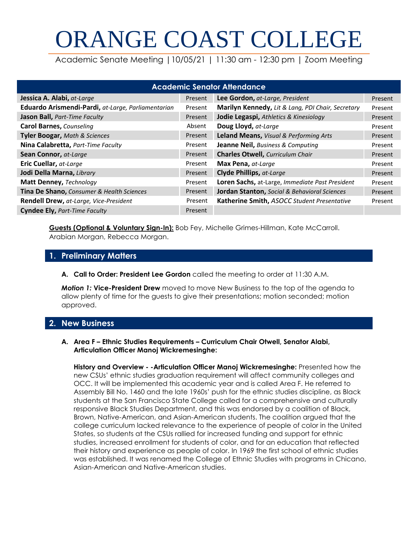# ORANGE COAST COLLEGE

Academic Senate Meeting |10/05/21 | 11:30 am - 12:30 pm | Zoom Meeting

| <b>Academic Senator Attendance</b>                   |         |                                                   |         |  |  |  |  |  |
|------------------------------------------------------|---------|---------------------------------------------------|---------|--|--|--|--|--|
| Jessica A. Alabi, at-Large                           | Present | Lee Gordon, at-Large, President                   | Present |  |  |  |  |  |
| Eduardo Arismendi-Pardi, at-Large, Parliamentarian   | Present | Marilyn Kennedy, Lit & Lang, PDI Chair, Secretary | Present |  |  |  |  |  |
| Jason Ball, Part-Time Faculty                        | Present | Jodie Legaspi, Athletics & Kinesiology            | Present |  |  |  |  |  |
| <b>Carol Barnes, Counseling</b>                      | Absent  | Doug Lloyd, at-Large                              | Present |  |  |  |  |  |
| <b>Tyler Boogar, Math &amp; Sciences</b>             | Present | Leland Means, Visual & Performing Arts            | Present |  |  |  |  |  |
| Nina Calabretta, Part-Time Faculty                   | Present | <b>Jeanne Neil, Business &amp; Computing</b>      | Present |  |  |  |  |  |
| Sean Connor, at-Large                                | Present | <b>Charles Otwell, Curriculum Chair</b>           | Present |  |  |  |  |  |
| Eric Cuellar, at-Large                               | Present | Max Pena, at-Large                                | Present |  |  |  |  |  |
| Jodi Della Marna, Library                            | Present | <b>Clyde Phillips, at-Large</b>                   | Present |  |  |  |  |  |
| Matt Denney, Technology                              | Present | Loren Sachs, at-Large, Immediate Past President   | Present |  |  |  |  |  |
| <b>Tina De Shano, Consumer &amp; Health Sciences</b> | Present | Jordan Stanton, Social & Behavioral Sciences      | Present |  |  |  |  |  |
| Rendell Drew, at-Large, Vice-President               | Present | Katherine Smith, ASOCC Student Presentative       | Present |  |  |  |  |  |
| <b>Cyndee Ely, Part-Time Faculty</b>                 | Present |                                                   |         |  |  |  |  |  |

**Guests (Optional & Voluntary Sign-In):** Bob Fey, Michelle Grimes-Hillman, Kate McCarroll. Arabian Morgan, Rebecca Morgan.

# **1. Preliminary Matters**

**A. Call to Order: President Lee Gordon** called the meeting to order at 11:30 A.M.

*Motion 1:* **Vice-President Drew** moved to move New Business to the top of the agenda to allow plenty of time for the guests to give their presentations; motion seconded; motion approved.

# **2. New Business**

#### **A. Area F – Ethnic Studies Requirements – Curriculum Chair Otwell, Senator Alabi, Articulation Officer Manoj Wickremesinghe:**

**History and Overview - -Articulation Officer Manoj Wickremesinghe:** Presented how the new CSUs' ethnic studies graduation requirement will affect community colleges and OCC. It will be implemented this academic year and is called Area F. He referred to Assembly Bill No. 1460 and the late 1960s' push for the ethnic studies discipline, as Black students at the San Francisco State College called for a comprehensive and culturally responsive Black Studies Department, and this was endorsed by a coalition of Black, Brown, Native-American, and Asian-American students. The coalition argued that the college curriculum lacked relevance to the experience of people of color in the United States, so students at the CSUs rallied for increased funding and support for ethnic studies, increased enrollment for students of color, and for an education that reflected their history and experience as people of color. In 1969 the first school of ethnic studies was established. It was renamed the College of Ethnic Studies with programs in Chicano, Asian-American and Native-American studies.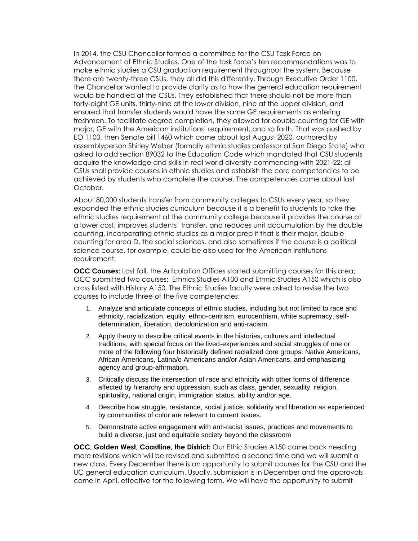In 2014, the CSU Chancellor formed a committee for the CSU Task Force on Advancement of Ethnic Studies. One of the task force's ten recommendations was to make ethnic studies a CSU graduation requirement throughout the system. Because there are twenty-three CSUs, they all did this differently. Through Executive Order 1100, the Chancellor wanted to provide clarity as to how the general education requirement would be handled at the CSUs. They established that there should not be more than forty-eight GE units, thirty-nine at the lower division, nine at the upper division, and ensured that transfer students would have the same GE requirements as entering freshmen. To facilitate degree completion, they allowed for double counting for GE with major, GE with the American institutions' requirement, and so forth. That was pushed by EO 1100, then Senate bill 1460 which came about last August 2020, authored by assemblyperson Shirley Weber (formally ethnic studies professor at San Diego State) who asked to add section 89032 to the Education Code which mandated that CSU students acquire the knowledge and skills in real world diversity commencing with 2021-22; all CSUs shall provide courses in ethnic studies and establish the core competencies to be achieved by students who complete the course. The competencies came about last October.

About 80,000 students transfer from community colleges to CSUs every year, so they expanded the ethnic studies curriculum because it is a benefit to students to take the ethnic studies requirement at the community college because it provides the course at a lower cost, improves students' transfer, and reduces unit accumulation by the double counting, incorporating ethnic studies as a major prep if that is their major, double counting for area D, the social sciences, and also sometimes if the course is a political science course, for example, could be also used for the American institutions requirement.

**OCC Courses:** Last fall, the Articulation Offices started submitting courses for this area; OCC submitted two courses: Ethnics Studies A100 and Ethnic Studies A150 which is also cross listed with History A150. The Ethnic Studies faculty were asked to revise the two courses to include three of the five competencies:

- 1. Analyze and articulate concepts of ethnic studies, including but not limited to race and ethnicity, racialization, equity, ethno-centrism, eurocentrism, white supremacy, selfdetermination, liberation, decolonization and anti-racism.
- 2. Apply theory to describe critical events in the histories, cultures and intellectual traditions, with special focus on the lived-experiences and social struggles of one or more of the following four historically defined racialized core groups: Native Americans, African Americans, Latina/o Americans and/or Asian Americans, and emphasizing agency and group-affirmation.
- 3. Critically discuss the intersection of race and ethnicity with other forms of difference affected by hierarchy and oppression, such as class, gender, sexuality, religion, spirituality, national origin, immigration status, ability and/or age.
- 4. Describe how struggle, resistance, social justice, solidarity and liberation as experienced by communities of color are relevant to current issues.
- 5. Demonstrate active engagement with anti-racist issues, practices and movements to build a diverse, just and equitable society beyond the classroom

**OCC, Golden West, Coastline, the District:** Our Ethic Studies A150 came back needing more revisions which will be revised and submitted a second time and we will submit a new class. Every December there is an opportunity to submit courses for the CSU and the UC general education curriculum. Usually, submission is in December and the approvals come in April, effective for the following term. We will have the opportunity to submit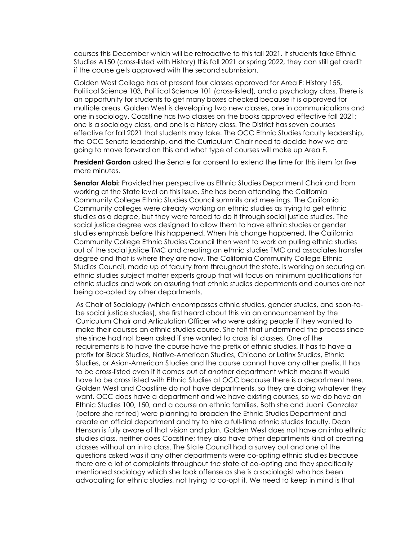courses this December which will be retroactive to this fall 2021. If students take Ethnic Studies A150 (cross-listed with History) this fall 2021 or spring 2022, they can still get credit if the course gets approved with the second submission.

Golden West College has at present four classes approved for Area F: History 155, Political Science 103, Political Science 101 (cross-listed), and a psychology class. There is an opportunity for students to get many boxes checked because it is approved for multiple areas. Golden West is developing two new classes, one in communications and one in sociology. Coastline has two classes on the books approved effective fall 2021; one is a sociology class, and one is a history class. The District has seven courses effective for fall 2021 that students may take. The OCC Ethnic Studies faculty leadership, the OCC Senate leadership, and the Curriculum Chair need to decide how we are going to move forward on this and what type of courses will make up Area F.

**President Gordon** asked the Senate for consent to extend the time for this item for five more minutes.

**Senator Alabi:** Provided her perspective as Ethnic Studies Department Chair and from working at the State level on this issue. She has been attending the California Community College Ethnic Studies Council summits and meetings. The California Community colleges were already working on ethnic studies as trying to get ethnic studies as a degree, but they were forced to do it through social justice studies. The social justice degree was designed to allow them to have ethnic studies or gender studies emphasis before this happened. When this change happened, the California Community College Ethnic Studies Council then went to work on pulling ethnic studies out of the social justice TMC and creating an ethnic studies TMC and associates transfer degree and that is where they are now. The California Community College Ethnic Studies Council, made up of faculty from throughout the state, is working on securing an ethnic studies subject matter experts group that will focus on minimum qualifications for ethnic studies and work on assuring that ethnic studies departments and courses are not being co-opted by other departments.

As Chair of Sociology (which encompasses ethnic studies, gender studies, and soon-tobe social justice studies), she first heard about this via an announcement by the Curriculum Chair and Articulation Officer who were asking people if they wanted to make their courses an ethnic studies course. She felt that undermined the process since she since had not been asked if she wanted to cross list classes. One of the requirements is to have the course have the prefix of ethnic studies. It has to have a prefix for Black Studies, Native-American Studies, Chicano or Latinx Studies, Ethnic Studies, or Asian-American Studies and the course cannot have any other prefix. It has to be cross-listed even if it comes out of another department which means it would have to be cross listed with Ethnic Studies at OCC because there is a department here. Golden West and Coastline do not have departments, so they are doing whatever they want. OCC does have a department and we have existing courses, so we do have an Ethnic Studies 100, 150, and a course on ethnic families. Both she and Juani Gonzalez (before she retired) were planning to broaden the Ethnic Studies Department and create an official department and try to hire a full-time ethnic studies faculty. Dean Henson is fully aware of that vision and plan. Golden West does not have an intro ethnic studies class, neither does Coastline; they also have other departments kind of creating classes without an intro class. The State Council had a survey out and one of the questions asked was if any other departments were co-opting ethnic studies because there are a lot of complaints throughout the state of co-opting and they specifically mentioned sociology which she took offense as she is a sociologist who has been advocating for ethnic studies, not trying to co-opt it. We need to keep in mind is that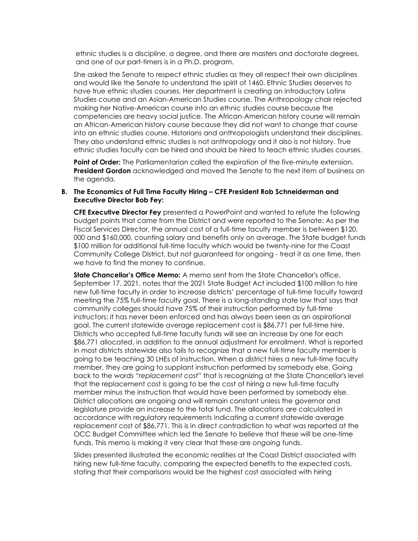ethnic studies is a discipline, a degree, and there are masters and doctorate degrees, and one of our part-timers is in a Ph.D. program.

She asked the Senate to respect ethnic studies as they all respect their own disciplines and would like the Senate to understand the spirit of 1460. Ethnic Studies deserves to have true ethnic studies courses. Her department is creating an introductory Latinx Studies course and an Asian-American Studies course. The Anthropology chair rejected making her Native-American course into an ethnic studies course because the competencies are heavy social justice. The African-American history course will remain an African-American history course because they did not want to change that course into an ethnic studies course. Historians and anthropologists understand their disciplines. They also understand ethnic studies is not anthropology and it also is not history. True ethnic studies faculty can be hired and should be hired to teach ethnic studies courses.

**Point of Order:** The Parliamentarian called the expiration of the five-minute extension. **President Gordon** acknowledged and moved the Senate to the next item of business on the agenda.

#### **B. The Economics of Full Time Faculty Hiring – CFE President Rob Schneiderman and Executive Director Bob Fey:**

**CFE Executive Director Fey** presented a PowerPoint and wanted to refute the following budget points that came from the District and were reported to the Senate: As per the Fiscal Services Director, the annual cost of a full-time faculty member is between \$120, 000 and \$160,000, counting salary and benefits only on average. The State budget funds \$100 million for additional full-time faculty which would be twenty-nine for the Coast Community College District, but not guaranteed for ongoing - treat it as one time, then we have to find the money to continue.

**State Chancellor's Office Memo:** A memo sent from the State Chancellor's office, September 17, 2021, notes that the 2021 State Budget Act included \$100 million to hire new full-time faculty in order to increase districts' percentage of full-time faculty toward meeting the 75% full-time faculty goal. There is a long-standing state law that says that community colleges should have 75% of their instruction performed by full-time instructors; it has never been enforced and has always been seen as an aspirational goal. The current statewide average replacement cost is \$86,771 per full-time hire. Districts who accepted full-time faculty funds will see an increase by one for each \$86,771 allocated, in addition to the annual adjustment for enrollment. What is reported in most districts statewide also fails to recognize that a new full-time faculty member is going to be teaching 30 LHEs of instruction. When a district hires a new full-time faculty member, they are going to supplant instruction performed by somebody else. Going back to the words "*replacement cost*" that is recognizing at the State Chancellor's level that the replacement cost is going to be the cost of hiring a new full-time faculty member minus the instruction that would have been performed by somebody else. District allocations are ongoing and will remain constant unless the governor and legislature provide an increase to the total fund. The allocations are calculated in accordance with regulatory requirements indicating a current statewide average replacement cost of \$86,771. This is in direct contradiction to what was reported at the OCC Budget Committee which led the Senate to believe that these will be one-time funds. This memo is making it very clear that these are *ongoing* funds.

Slides presented illustrated the economic realities at the Coast District associated with hiring new full-time faculty, comparing the expected benefits to the expected costs, stating that their comparisons would be the highest cost associated with hiring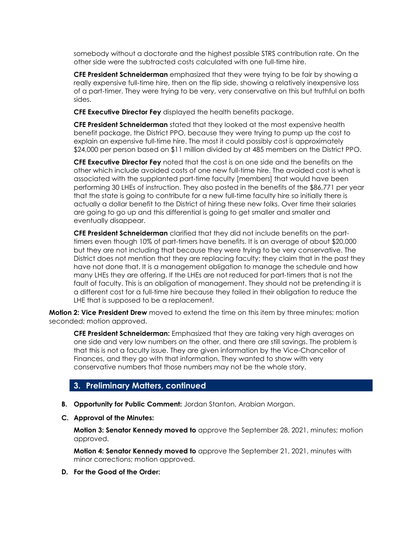somebody without a doctorate and the highest possible STRS contribution rate. On the other side were the subtracted costs calculated with one full-time hire.

**CFE President Schneiderman** emphasized that they were trying to be fair by showing a really expensive full-time hire, then on the flip side, showing a relatively inexpensive loss of a part-timer. They were trying to be very, very conservative on this but truthful on both sides.

**CFE Executive Director Fey** displayed the health benefits package.

**CFE President Schneiderman** stated that they looked at the most expensive health benefit package, the District PPO, because they were trying to pump up the cost to explain an expensive full-time hire. The most it could possibly cost is approximately \$24,000 per person based on \$11 million divided by at 485 members on the District PPO.

**CFE Executive Director Fey** noted that the cost is on one side and the benefits on the other which include avoided costs of one new full-time hire. The avoided cost is what is associated with the supplanted part-time faculty [members] that would have been performing 30 LHEs of instruction. They also posted in the benefits of the \$86,771 per year that the state is going to contribute for a new full-time faculty hire so initially there is actually a dollar benefit to the District of hiring these new folks. Over time their salaries are going to go up and this differential is going to get smaller and smaller and eventually disappear.

**CFE President Schneiderman** clarified that they did not include benefits on the parttimers even though 10% of part-timers have benefits. It is an average of about \$20,000 but they are not including that because they were trying to be very conservative. The District does not mention that they are replacing faculty; they claim that in the past they have not done that. It is a management obligation to manage the schedule and how many LHEs they are offering. If the LHEs are not reduced for part-timers that is not the fault of faculty. This is an obligation of management. They should not be pretending it is a different cost for a full-time hire because they failed in their obligation to reduce the LHE that is supposed to be a replacement.

**Motion 2: Vice President Drew** moved to extend the time on this item by three minutes; motion seconded; motion approved.

**CFE President Schneiderman:** Emphasized that they are taking very high averages on one side and very low numbers on the other, and there are still savings. The problem is that this is not a faculty issue. They are given information by the Vice-Chancellor of Finances, and they go with that information. They wanted to show with very conservative numbers that those numbers may not be the whole story.

#### **3. Preliminary Matters, continued**

- **B. Opportunity for Public Comment:** Jordan Stanton, Arabian Morgan.
- **C. Approval of the Minutes:**

**Motion 3: Senator Kennedy moved to** approve the September 28, 2021, minutes; motion approved.

**Motion 4: Senator Kennedy moved to** approve the September 21, 2021, minutes with minor corrections; motion approved.

**D. For the Good of the Order:**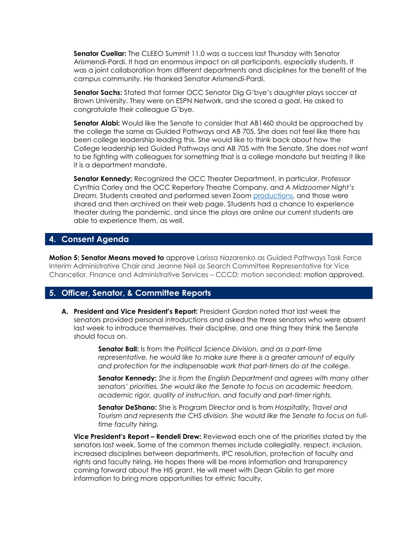**Senator Cuellar:** The CLEEO Summit 11.0 was a success last Thursday with Senator Arismendi-Pardi. It had an enormous impact on all participants, especially students. It was a joint collaboration from different departments and disciplines for the benefit of the campus community. He thanked Senator Arismendi-Pardi.

**Senator Sachs:** Stated that former OCC Senator Dig G'bye's daughter plays soccer at Brown University. They were on ESPN Network, and she scored a goal. He asked to congratulate their colleague G'bye.

**Senator Alabi:** Would like the Senate to consider that AB1460 should be approached by the college the same as Guided Pathways and AB 705. She does not feel like there has been college leadership leading this. She would like to think back about how the College leadership led Guided Pathways and AB 705 with the Senate. She does not want to be fighting with colleagues for something that is a college mandate but treating it like it is a department mandate.

**Senator Kennedy:** Recognized the OCC Theater Department, in particular, Professor Cynthia Corley and the OCC Repertory Theatre Company, and *A Midzoomer Night's Dream.* Students created and performed seven Zoom productions, and those were shared and then archived on their web page. Students had a chance to experience theater during the pandemic, and since the plays are online our current students are able to experience them, as well.

#### **4. Consent Agenda**

**Motion 5: Senator Means moved to** approve Larissa Nazarenko as Guided Pathways Task Force Interim Administrative Chair and Jeanne Neil as Search Committee Representative for Vice Chancellor, Finance and Administrative Services – CCCD; motion seconded; motion approved.

#### **5. Officer, Senator, & Committee Reports**

**A. President and Vice President's Report:** President Gordon noted that last week the senators provided personal introductions and asked the three senators who were absent last week to introduce themselves, their discipline, and one thing they think the Senate should focus on.

> **Senator Ball:** Is from the *Political Science Division, and as a part-time representative, he would like to make sure there is a greater amount of equity and protection for the indispensable work that part-timers do at the college.*

**Senator Kennedy:** *She is from the English Department and agrees with many other senators' priorities. She would like the Senate to focus on academic freedom, academic rigor, quality of instruction, and faculty and part-timer rights.*

**Senator DeShano:** She is Program Director and Is from *Hospitality, Travel and Tourism and represents the CHS division. She would like the Senate to focus on fulltime faculty hiring.* 

**Vice President's Report – Rendell Drew:** Reviewed each one of the priorities stated by the senators last week. Some of the common themes include collegiality, respect, inclusion, increased disciplines between departments, IPC resolution, protection of faculty and rights and faculty hiring. He hopes there will be more information and transparency coming forward about the HIS grant. He will meet with Dean Giblin to get more information to bring more opportunities for ethnic faculty.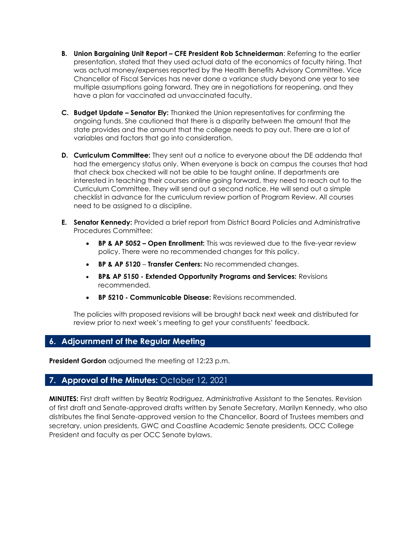- **B.** Union Bargaining Unit Report CFE President Rob Schneiderman: Referring to the earlier presentation, stated that they used actual data of the economics of faculty hiring. That was actual money/expenses reported by the Health Benefits Advisory Committee. Vice Chancellor of Fiscal Services has never done a variance study beyond one year to see multiple assumptions going forward. They are in negotiations for reopening, and they have a plan for vaccinated ad unvaccinated faculty.
- **C. Budget Update – Senator Ely:** Thanked the Union representatives for confirming the ongoing funds. She cautioned that there is a disparity between the amount that the state provides and the amount that the college needs to pay out. There are a lot of variables and factors that go into consideration.
- **D. Curriculum Committee:** They sent out a notice to everyone about the DE addenda that had the emergency status only. When everyone is back on campus the courses that had that check box checked will not be able to be taught online. If departments are interested in teaching their courses online going forward, they need to reach out to the Curriculum Committee. They will send out a second notice. He will send out a simple checklist in advance for the curriculum review portion of Program Review. All courses need to be assigned to a discipline.
- **E. Senator Kennedy:** Provided a brief report from District Board Policies and Administrative Procedures Committee:
	- **BP & AP 5052 – Open Enrollment:** This was reviewed due to the five-year review policy. There were no recommended changes for this policy.
	- **BP & AP 5120 Transfer Centers:** No recommended changes.
	- **BP& AP 5150 - Extended Opportunity Programs and Services:** Revisions recommended.
	- **BP 5210 - Communicable Disease:** Revisions recommended.

The policies with proposed revisions will be brought back next week and distributed for review prior to next week's meeting to get your constituents' feedback.

# **6. Adjournment of the Regular Meeting**

**President Gordon** adjourned the meeting at 12:23 p.m.

# **7. Approval of the Minutes:** October 12, 2021

**MINUTES:** First draft written by Beatriz Rodriguez, Administrative Assistant to the Senates. Revision of first draft and Senate-approved drafts written by Senate Secretary, Marilyn Kennedy, who also distributes the final Senate-approved version to the Chancellor, Board of Trustees members and secretary, union presidents, GWC and Coastline Academic Senate presidents, OCC College President and faculty as per OCC Senate bylaws.